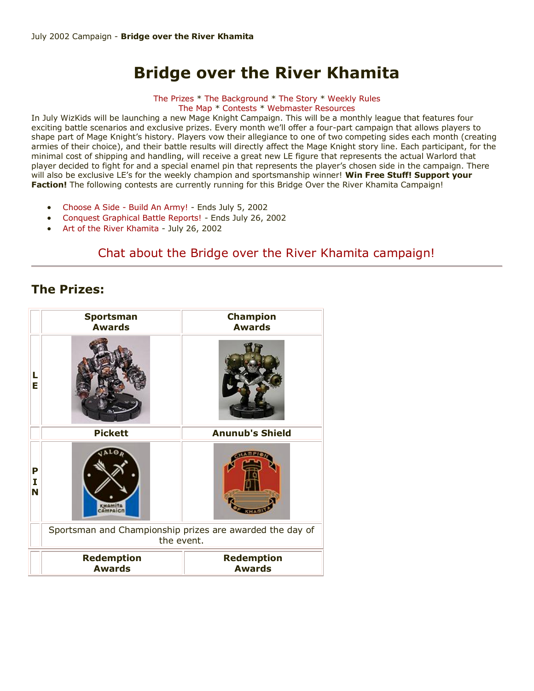# **Bridge over the River Khamita**

[The Prizes](http://www.wizkidsgames.com/mageknight/article.asp?cid=36675&frame=talesfromtheland#prizes#prizes) \* [The Background](http://www.wizkidsgames.com/mageknight/article.asp?cid=36675&frame=talesfromtheland#background#background) \* [The Story](http://www.wizkidsgames.com/mageknight/article.asp?cid=36675&frame=talesfromtheland#story#story) \* [Weekly Rules](http://www.wizkidsgames.com/mageknight/article.asp?cid=36675&frame=talesfromtheland#week#week) [The Map](http://www.wizkidsgames.com/mageknight/article.asp?cid=36675&frame=talesfromtheland#map#map) \* [Contests](http://www.wizkidsgames.com/mageknight/article.asp?cid=36675&frame=talesfromtheland#contests#contests) \* [Webmaster Resources](http://www.wizkidsgames.com/mageknight/article.asp?cid=36721&frame=Talesfromtheland)

In July WizKids will be launching a new Mage Knight Campaign. This will be a monthly league that features four exciting battle scenarios and exclusive prizes. Every month we'll offer a four-part campaign that allows players to shape part of Mage Knight's history. Players vow their allegiance to one of two competing sides each month (creating armies of their choice), and their battle results will directly affect the Mage Knight story line. Each participant, for the minimal cost of shipping and handling, will receive a great new LE figure that represents the actual Warlord that player decided to fight for and a special enamel pin that represents the player's chosen side in the campaign. There will also be exclusive LE's for the weekly champion and sportsmanship winner! **Win Free Stuff! Support your Faction!** The following contests are currently running for this Bridge Over the River Khamita Campaign!

- [Choose A Side -](http://www.wizkidsgames.com/mageknight/article.asp?cid=36749&frame=Talesfromtheland) Build An Army! Ends July 5, 2002
- [Conquest Graphical Battle Reports!](http://www.wizkidsgames.com/mageknight/article.asp?cid=36737&frame=Talesfromtheland) Ends July 26, 2002
- [Art of the River Khamita](http://www.wizkidsgames.com/mageknight/article.asp?cid=36760&frame=Talesfromtheland) July 26, 2002

# [Chat about the Bridge over the River Khamita campaign!](http://www.wizkidsgames.com/forumlaunch.asp)

# **The Prizes:**

|             | <b>Sportsman</b><br><b>Awards</b>                                      | <b>Champion</b><br><b>Awards</b>   |
|-------------|------------------------------------------------------------------------|------------------------------------|
| L<br>Е      |                                                                        |                                    |
|             | <b>Pickett</b>                                                         | <b>Anunub's Shield</b>             |
| P<br>I<br>N | KHAMITA<br>CAMPA                                                       |                                    |
|             | Sportsman and Championship prizes are awarded the day of<br>the event. |                                    |
|             | <b>Redemption</b><br><b>Awards</b>                                     | <b>Redemption</b><br><b>Awards</b> |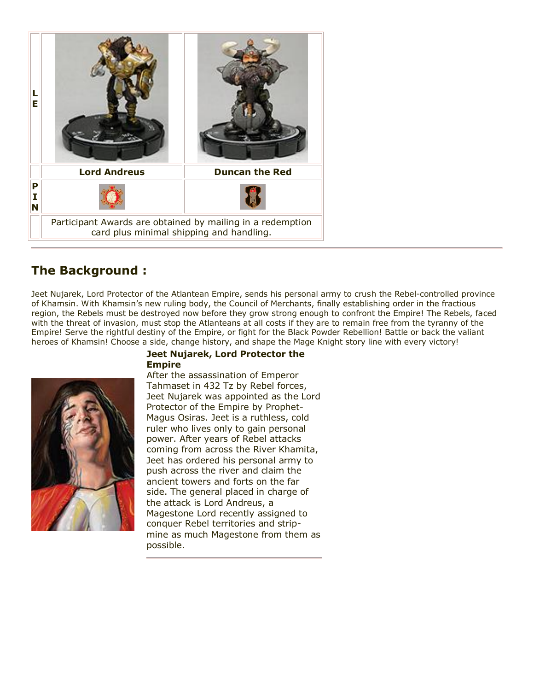

# **The Background :**

Jeet Nujarek, Lord Protector of the Atlantean Empire, sends his personal army to crush the Rebel-controlled province of Khamsin. With Khamsin's new ruling body, the Council of Merchants, finally establishing order in the fractious region, the Rebels must be destroyed now before they grow strong enough to confront the Empire! The Rebels, faced with the threat of invasion, must stop the Atlanteans at all costs if they are to remain free from the tyranny of the Empire! Serve the rightful destiny of the Empire, or fight for the Black Powder Rebellion! Battle or back the valiant heroes of Khamsin! Choose a side, change history, and shape the Mage Knight story line with every victory!



## **Jeet Nujarek, Lord Protector the Empire**

After the assassination of Emperor Tahmaset in 432 Tz by Rebel forces, Jeet Nujarek was appointed as the Lord Protector of the Empire by Prophet-Magus Osiras. Jeet is a ruthless, cold ruler who lives only to gain personal power. After years of Rebel attacks coming from across the River Khamita, Jeet has ordered his personal army to push across the river and claim the ancient towers and forts on the far side. The general placed in charge of the attack is Lord Andreus, a Magestone Lord recently assigned to conquer Rebel territories and stripmine as much Magestone from them as possible.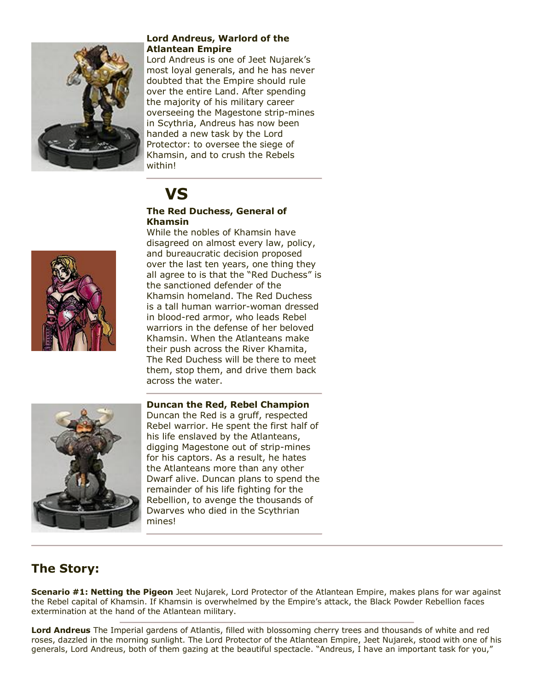

## **Lord Andreus, Warlord of the Atlantean Empire**

Lord Andreus is one of Jeet Nujarek's most loyal generals, and he has never doubted that the Empire should rule over the entire Land. After spending the majority of his military career overseeing the Magestone strip-mines in Scythria, Andreus has now been handed a new task by the Lord Protector: to oversee the siege of Khamsin, and to crush the Rebels within!

# **VS**

## **The Red Duchess, General of Khamsin**

While the nobles of Khamsin have disagreed on almost every law, policy, and bureaucratic decision proposed over the last ten years, one thing they all agree to is that the "Red Duchess" is the sanctioned defender of the Khamsin homeland. The Red Duchess is a tall human warrior-woman dressed in blood-red armor, who leads Rebel warriors in the defense of her beloved Khamsin. When the Atlanteans make their push across the River Khamita, The Red Duchess will be there to meet them, stop them, and drive them back across the water.



## **Duncan the Red, Rebel Champion**

Duncan the Red is a gruff, respected Rebel warrior. He spent the first half of his life enslaved by the Atlanteans, digging Magestone out of strip-mines for his captors. As a result, he hates the Atlanteans more than any other Dwarf alive. Duncan plans to spend the remainder of his life fighting for the Rebellion, to avenge the thousands of Dwarves who died in the Scythrian mines!

# **The Story:**

**Scenario #1: Netting the Pigeon** Jeet Nujarek, Lord Protector of the Atlantean Empire, makes plans for war against the Rebel capital of Khamsin. If Khamsin is overwhelmed by the Empire's attack, the Black Powder Rebellion faces extermination at the hand of the Atlantean military.

**Lord Andreus** The Imperial gardens of Atlantis, filled with blossoming cherry trees and thousands of white and red roses, dazzled in the morning sunlight. The Lord Protector of the Atlantean Empire, Jeet Nujarek, stood with one of his generals, Lord Andreus, both of them gazing at the beautiful spectacle. "Andreus, I have an important task for you,"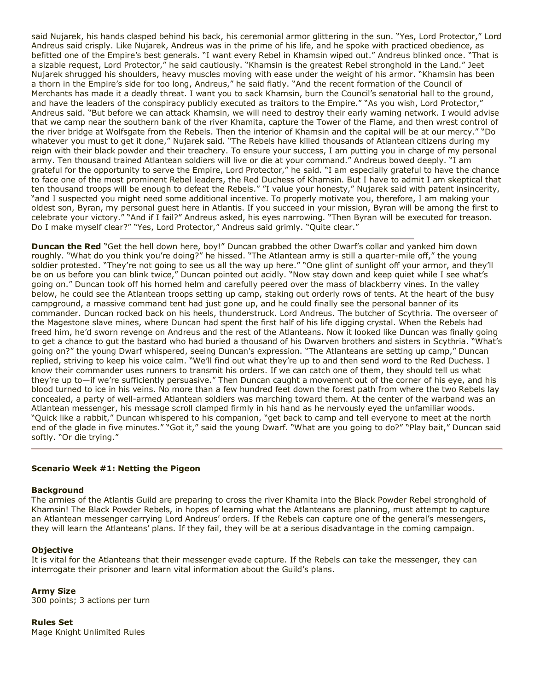said Nujarek, his hands clasped behind his back, his ceremonial armor glittering in the sun. "Yes, Lord Protector," Lord Andreus said crisply. Like Nujarek, Andreus was in the prime of his life, and he spoke with practiced obedience, as befitted one of the Empire's best generals. "I want every Rebel in Khamsin wiped out." Andreus blinked once. "That is a sizable request, Lord Protector," he said cautiously. "Khamsin is the greatest Rebel stronghold in the Land." Jeet Nujarek shrugged his shoulders, heavy muscles moving with ease under the weight of his armor. "Khamsin has been a thorn in the Empire's side for too long, Andreus," he said flatly. "And the recent formation of the Council of Merchants has made it a deadly threat. I want you to sack Khamsin, burn the Council's senatorial hall to the ground, and have the leaders of the conspiracy publicly executed as traitors to the Empire." "As you wish, Lord Protector," Andreus said. "But before we can attack Khamsin, we will need to destroy their early warning network. I would advise that we camp near the southern bank of the river Khamita, capture the Tower of the Flame, and then wrest control of the river bridge at Wolfsgate from the Rebels. Then the interior of Khamsin and the capital will be at our mercy." "Do whatever you must to get it done," Nujarek said. "The Rebels have killed thousands of Atlantean citizens during my reign with their black powder and their treachery. To ensure your success, I am putting you in charge of my personal army. Ten thousand trained Atlantean soldiers will live or die at your command." Andreus bowed deeply. "I am grateful for the opportunity to serve the Empire, Lord Protector," he said. "I am especially grateful to have the chance to face one of the most prominent Rebel leaders, the Red Duchess of Khamsin. But I have to admit I am skeptical that ten thousand troops will be enough to defeat the Rebels." "I value your honesty," Nujarek said with patent insincerity, "and I suspected you might need some additional incentive. To properly motivate you, therefore, I am making your oldest son, Byran, my personal guest here in Atlantis. If you succeed in your mission, Byran will be among the first to celebrate your victory." "And if I fail?" Andreus asked, his eyes narrowing. "Then Byran will be executed for treason. Do I make myself clear?" "Yes, Lord Protector," Andreus said grimly. "Quite clear."

**Duncan the Red** "Get the hell down here, boy!" Duncan grabbed the other Dwarf's collar and yanked him down roughly. "What do you think you're doing?" he hissed. "The Atlantean army is still a quarter-mile off," the young soldier protested. "They're not going to see us all the way up here." "One glint of sunlight off your armor, and they'll be on us before you can blink twice," Duncan pointed out acidly. "Now stay down and keep quiet while I see what's going on." Duncan took off his horned helm and carefully peered over the mass of blackberry vines. In the valley below, he could see the Atlantean troops setting up camp, staking out orderly rows of tents. At the heart of the busy campground, a massive command tent had just gone up, and he could finally see the personal banner of its commander. Duncan rocked back on his heels, thunderstruck. Lord Andreus. The butcher of Scythria. The overseer of the Magestone slave mines, where Duncan had spent the first half of his life digging crystal. When the Rebels had freed him, he'd sworn revenge on Andreus and the rest of the Atlanteans. Now it looked like Duncan was finally going to get a chance to gut the bastard who had buried a thousand of his Dwarven brothers and sisters in Scythria. "What's going on?" the young Dwarf whispered, seeing Duncan's expression. "The Atlanteans are setting up camp," Duncan replied, striving to keep his voice calm. "We'll find out what they're up to and then send word to the Red Duchess. I know their commander uses runners to transmit his orders. If we can catch one of them, they should tell us what they're up to—if we're sufficiently persuasive." Then Duncan caught a movement out of the corner of his eye, and his blood turned to ice in his veins. No more than a few hundred feet down the forest path from where the two Rebels lay concealed, a party of well-armed Atlantean soldiers was marching toward them. At the center of the warband was an Atlantean messenger, his message scroll clamped firmly in his hand as he nervously eyed the unfamiliar woods. "Quick like a rabbit," Duncan whispered to his companion, "get back to camp and tell everyone to meet at the north end of the glade in five minutes." "Got it," said the young Dwarf. "What are you going to do?" "Play bait," Duncan said softly. "Or die trying."

#### **Scenario Week #1: Netting the Pigeon**

#### **Background**

The armies of the Atlantis Guild are preparing to cross the river Khamita into the Black Powder Rebel stronghold of Khamsin! The Black Powder Rebels, in hopes of learning what the Atlanteans are planning, must attempt to capture an Atlantean messenger carrying Lord Andreus' orders. If the Rebels can capture one of the general's messengers, they will learn the Atlanteans' plans. If they fail, they will be at a serious disadvantage in the coming campaign.

#### **Objective**

It is vital for the Atlanteans that their messenger evade capture. If the Rebels can take the messenger, they can interrogate their prisoner and learn vital information about the Guild's plans.

#### **Army Size**

300 points; 3 actions per turn

**Rules Set** Mage Knight Unlimited Rules